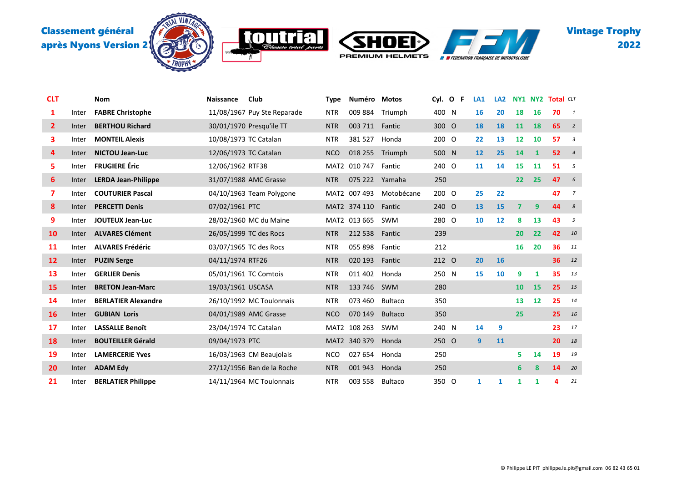

**MOTH** 

'K





| <b>CLT</b>   |       | Nom                        | Naissance             | Club                        | <b>Type</b> | Numéro         | <b>Motos</b>   | Cyl. O | -F | LA <sub>1</sub> | LA <sub>2</sub> | <b>NY1 NY2</b>          |              | <b>Total CLT</b> |                  |
|--------------|-------|----------------------------|-----------------------|-----------------------------|-------------|----------------|----------------|--------|----|-----------------|-----------------|-------------------------|--------------|------------------|------------------|
| 1            | Inter | <b>FABRE Christophe</b>    |                       | 11/08/1967 Puy Ste Reparade | <b>NTR</b>  | 009884         | Triumph        | 400 N  |    | 16              | 20              | 18                      | 16           | 70               | $\mathbf{1}$     |
| $\mathbf{2}$ | Inter | <b>BERTHOU Richard</b>     |                       | 30/01/1970 Presqu'ile TT    | <b>NTR</b>  | 003 711        | Fantic         | 300 O  |    | 18              | 18              | 11                      | <b>18</b>    | 65               | $\overline{2}$   |
| 3            | Inter | <b>MONTEIL Alexis</b>      | 10/08/1973 TC Catalan |                             | <b>NTR</b>  | 381527         | Honda          | 200 O  |    | 22              | 13              | 12                      | 10           | 57               | 3                |
| 4            | Inter | <b>NICTOU Jean-Luc</b>     | 12/06/1973 TC Catalan |                             | <b>NCO</b>  | 018 255        | Triumph        | 500 N  |    | 12              | 25              | 14                      | $\mathbf{1}$ | 52               | $\overline{4}$   |
| 5            | Inter | <b>FRUGIERE Éric</b>       | 12/06/1962 RTF38      |                             |             | MAT2 010 747   | Fantic         | 240 O  |    | 11              | 14              | 15                      | 11           | 51               | 5                |
| 6            | Inter | <b>LERDA Jean-Philippe</b> |                       | 31/07/1988 AMC Grasse       | <b>NTR</b>  | 075 222 Yamaha |                | 250    |    |                 |                 | 22                      | 25           | 47               | 6                |
| 7            | Inter | <b>COUTURIER Pascal</b>    |                       | 04/10/1963 Team Polygone    |             | MAT2 007 493   | Motobécane     | 200 O  |    | 25              | 22              |                         |              | 47               | 7                |
| 8            | Inter | <b>PERCETTI Denis</b>      | 07/02/1961 PTC        |                             |             | MAT2 374 110   | Fantic         | 240 O  |    | 13              | <b>15</b>       | $\overline{\mathbf{z}}$ | 9            | 44               | $\boldsymbol{s}$ |
| 9            | Inter | <b>JOUTEUX Jean-Luc</b>    |                       | 28/02/1960 MC du Maine      |             | MAT2 013 665   | <b>SWM</b>     | 280 O  |    | 10              | 12              | 8                       | 13           | 43               | 9                |
| 10           | Inter | <b>ALVARES Clément</b>     |                       | 26/05/1999 TC des Rocs      | <b>NTR</b>  | 212 538        | Fantic         | 239    |    |                 |                 | 20                      | 22           | 42               | 10               |
| 11           | Inter | <b>ALVARES Frédéric</b>    |                       | 03/07/1965 TC des Rocs      | <b>NTR</b>  | 055 898        | Fantic         | 212    |    |                 |                 | 16                      | 20           | 36               | 11               |
| 12           | Inter | <b>PUZIN Serge</b>         | 04/11/1974 RTF26      |                             | <b>NTR</b>  | 020 193        | Fantic         | 212 0  |    | 20              | <b>16</b>       |                         |              | 36               | 12               |
| 13           | Inter | <b>GERLIER Denis</b>       |                       | 05/01/1961 TC Comtois       | <b>NTR</b>  | 011 402        | Honda          | 250 N  |    | 15              | 10              | 9                       | 1            | 35               | 13               |
| 15           | Inter | <b>BRETON Jean-Marc</b>    | 19/03/1961 USCASA     |                             | <b>NTR</b>  | 133 746        | SWM            | 280    |    |                 |                 | 10                      | 15           | 25               | 15               |
| 14           | Inter | <b>BERLATIER Alexandre</b> |                       | 26/10/1992 MC Toulonnais    | <b>NTR</b>  | 073 460        | <b>Bultaco</b> | 350    |    |                 |                 | 13                      | 12           | 25               | 14               |
| <b>16</b>    | Inter | <b>GUBIAN Loris</b>        |                       | 04/01/1989 AMC Grasse       | <b>NCO</b>  | 070 149        | <b>Bultaco</b> | 350    |    |                 |                 | 25                      |              | 25               | 16               |
| 17           | Inter | <b>LASSALLE Benoît</b>     | 23/04/1974 TC Catalan |                             |             | MAT2 108 263   | SWM            | 240 N  |    | 14              | 9               |                         |              | 23               | 17               |
| 18           | Inter | <b>BOUTEILLER Gérald</b>   | 09/04/1973 PTC        |                             |             | MAT2 340 379   | Honda          | 250 O  |    | 9               | 11              |                         |              | 20               | 18               |
| 19           | Inter | <b>LAMERCERIE Yves</b>     |                       | 16/03/1963 CM Beaujolais    | <b>NCO</b>  | 027 654        | Honda          | 250    |    |                 |                 | 5                       | 14           | 19               | 19               |
| 20           | Inter | <b>ADAM Edv</b>            |                       | 27/12/1956 Ban de la Roche  | <b>NTR</b>  | 001943         | Honda          | 250    |    |                 |                 | 6                       | 8            | 14               | 20               |
| 21           | Inter | <b>BERLATIER Philippe</b>  |                       | 14/11/1964 MC Toulonnais    | <b>NTR</b>  | 003 558        | Bultaco        | 350 O  |    | 1               | 1               | 1                       | 1            | 4                | 21               |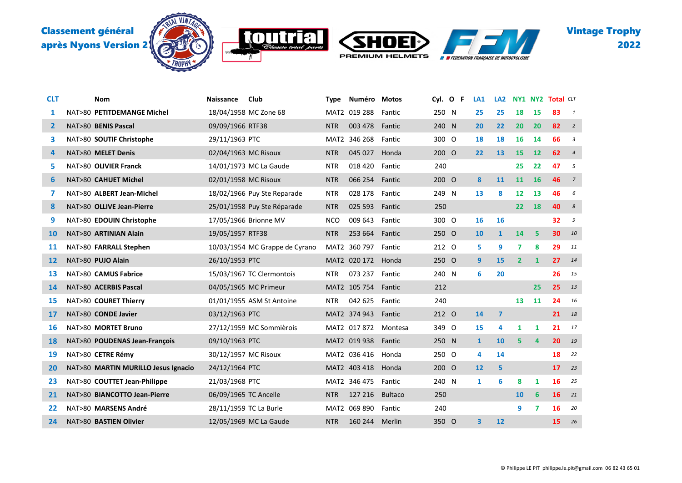



JO T

K



| <b>CLT</b>   | Nom                                 | <b>Naissance</b>       | Club                           | <b>Type</b> | Numéro              | Motos          | Cyl.  | $\mathbf{o}$<br>-F | LA <sub>1</sub> | LA <sub>2</sub>         | <b>NY1 NY2</b>    |              | <b>Total CLT</b> |                         |
|--------------|-------------------------------------|------------------------|--------------------------------|-------------|---------------------|----------------|-------|--------------------|-----------------|-------------------------|-------------------|--------------|------------------|-------------------------|
| 1            | NAT>80 PETITDEMANGE Michel          |                        | 18/04/1958 MC Zone 68          |             | MAT2 019 288        | Fantic         | 250 N |                    | 25              | 25                      | 18                | 15           | 83               | $\overline{1}$          |
| $\mathbf{2}$ | NAT>80 BENIS Pascal                 | 09/09/1966 RTF38       |                                | <b>NTR</b>  | 003 478             | Fantic         | 240   | N                  | 20              | 22                      | 20                | 20           | 82               | $\overline{2}$          |
| 3            | NAT>80 SOUTIF Christophe            | 29/11/1963 PTC         |                                |             | MAT2 346 268        | Fantic         | 300 O |                    | 18              | 18                      | 16                | 14           | 66               | $\overline{\mathbf{3}}$ |
| 4            | NAT>80 MELET Denis                  | 02/04/1963 MC Risoux   |                                | <b>NTR</b>  | 045 027             | Honda          | 200 O |                    | 22              | 13                      | <b>15</b>         | 12           | 62               | $\overline{4}$          |
| 5.           | NAT>80 OLIVIER Franck               |                        | 14/01/1973 MC La Gaude         | <b>NTR</b>  | 018 420             | Fantic         | 240   |                    |                 |                         | 25                | 22           | 47               | 5                       |
| 6            | NAT>80 CAHUET Michel                | 02/01/1958 MC Risoux   |                                | <b>NTR</b>  | 066 254 Fantic      |                | 200 O |                    | 8               | 11                      | 11                | 16           | 46               | $\overline{7}$          |
| 7            | NAT>80 ALBERT Jean-Michel           |                        | 18/02/1966 Puy Ste Reparade    | <b>NTR</b>  | 028 178             | Fantic         | 249 N |                    | 13              | 8                       | 12                | 13           | 46               | 6                       |
| 8            | NAT>80 OLLIVE Jean-Pierre           |                        | 25/01/1958 Puy Ste Réparade    | <b>NTR</b>  | 025 593             | Fantic         | 250   |                    |                 |                         | $22 \overline{ }$ | 18           | 40               | 8                       |
| 9            | NAT>80 EDOUIN Christophe            |                        | 17/05/1966 Brionne MV          | <b>NCO</b>  | 009 643             | Fantic         | 300 O |                    | 16              | 16                      |                   |              | 32               | 9                       |
| 10           | NAT>80 ARTINIAN Alain               | 19/05/1957 RTF38       |                                | <b>NTR</b>  | 253 664 Fantic      |                | 250 O |                    | 10              | $\mathbf{1}$            | 14                | 5            | 30               | 10                      |
| 11           | NAT>80 FARRALL Stephen              |                        | 10/03/1954 MC Grappe de Cyrano | MAT2        | 360 797 Fantic      |                | 212 0 |                    | 5               | 9                       | 7                 | 8            | 29               | 11                      |
| 12           | NAT>80 PUJO Alain                   | 26/10/1953 PTC         |                                |             | MAT2 020 172 Honda  |                | 250 O |                    | 9               | 15                      | $\overline{2}$    | $\mathbf{1}$ | 27               | 14                      |
| 13           | NAT>80 CAMUS Fabrice                |                        | 15/03/1967 TC Clermontois      | <b>NTR</b>  | 073 237             | Fantic         | 240 N |                    | 6               | 20                      |                   |              | 26               | 15                      |
| 14           | NAT>80 ACERBIS Pascal               |                        | 04/05/1965 MC Primeur          |             | MAT2 105 754 Fantic |                | 212   |                    |                 |                         |                   | 25           | 25               | 13                      |
| 15           | NAT>80 COURET Thierry               |                        | 01/01/1955 ASM St Antoine      | <b>NTR</b>  | 042 625             | Fantic         | 240   |                    |                 |                         | 13                | 11           | 24               | 16                      |
| 17           | NAT>80 CONDE Javier                 | 03/12/1963 PTC         |                                |             | MAT2 374 943 Fantic |                | 212 O |                    | 14              | $\overline{\mathbf{z}}$ |                   |              | 21               | 18                      |
| 16           | NAT>80 MORTET Bruno                 |                        | 27/12/1959 MC Sommièrois       |             | MAT2 017 872        | Montesa        | 349 O |                    | 15              | 4                       | 1                 | 1            | 21               | 17                      |
| 18           | NAT>80 POUDENAS Jean-François       | 09/10/1963 PTC         |                                |             | MAT2 019 938        | Fantic         | 250 N |                    | $\mathbf{1}$    | 10                      | 5                 | 4            | 20               | 19                      |
| 19           | NAT>80 CETRE Rémy                   | 30/12/1957 MC Risoux   |                                |             | MAT2 036 416        | Honda          | 250 O |                    | 4               | 14                      |                   |              | 18               | 22                      |
| 20           | NAT>80 MARTIN MURILLO Jesus Ignacio | 24/12/1964 PTC         |                                |             | MAT2 403 418        | Honda          | 200 O |                    | 12              | 5                       |                   |              | 17               | 23                      |
| 23           | NAT>80 COUTTET Jean-Philippe        | 21/03/1968 PTC         |                                |             | MAT2 346 475        | Fantic         | 240 N |                    | 1               | 6                       | 8                 | 1            | 16               | 25                      |
| 21           | NAT>80 BIANCOTTO Jean-Pierre        | 06/09/1965 TC Ancelle  |                                | <b>NTR</b>  | 127 216             | <b>Bultaco</b> | 250   |                    |                 |                         | <b>10</b>         | 6            | 16               | 21                      |
| 22           | NAT>80 MARSENS André                | 28/11/1959 TC La Burle |                                |             | MAT2 069 890        | Fantic         | 240   |                    |                 |                         | 9                 | 7            | 16               | 20                      |
| 24           | NAT>80 BASTIEN Olivier              |                        | 12/05/1969 MC La Gaude         | <b>NTR</b>  | 160 244             | Merlin         | 350 O |                    | 3               | 12                      |                   |              | 15               | 26                      |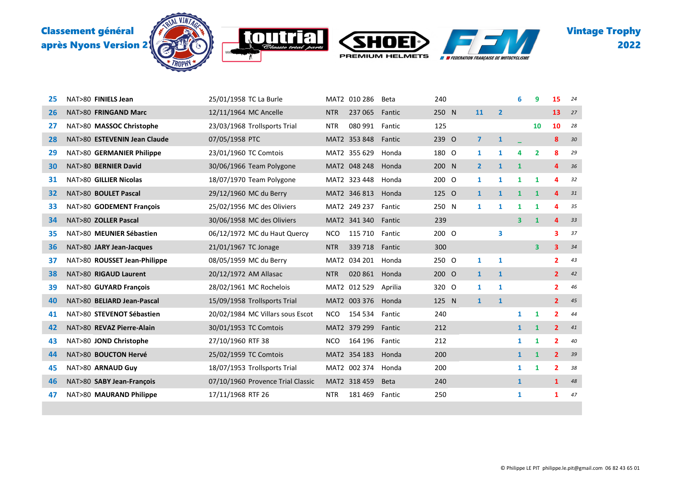







| 25 | NAT>80 FINIELS Jean          | 25/01/1958 TC La Burle            |            | MAT2 010 286       | Beta        | 240   |                |                | 6                       | 9                       | 15                      | 24 |
|----|------------------------------|-----------------------------------|------------|--------------------|-------------|-------|----------------|----------------|-------------------------|-------------------------|-------------------------|----|
| 26 | NAT>80 FRINGAND Marc         | 12/11/1964 MC Ancelle             | <b>NTR</b> | 237 065            | Fantic      | 250 N | 11             | $\overline{2}$ |                         |                         | 13                      | 27 |
| 27 | NAT>80 MASSOC Christophe     | 23/03/1968 Trollsports Trial      | <b>NTR</b> | 080 991            | Fantic      | 125   |                |                |                         | 10                      | 10                      | 28 |
| 28 | NAT>80 ESTEVENIN Jean Claude | 07/05/1958 PTC                    |            | MAT2 353 848       | Fantic      | 239 O | $\overline{7}$ | $\mathbf{1}$   |                         |                         | 8                       | 30 |
| 29 | NAT>80 GERMANIER Philippe    | 23/01/1960 TC Comtois             |            | MAT2 355 629       | Honda       | 180 O | $\mathbf{1}$   | 1              | 4                       | $\overline{2}$          | 8                       | 29 |
| 30 | NAT>80 BERNIER David         | 30/06/1966 Team Polygone          |            | MAT2 048 248       | Honda       | 200 N | $\mathbf{2}$   | $\mathbf{1}$   | $\mathbf{1}$            |                         | 4                       | 36 |
| 31 | NAT>80 GILLIER Nicolas       | 18/07/1970 Team Polygone          |            | MAT2 323 448       | Honda       | 200 O | $\mathbf{1}$   | 1              | 1                       | 1                       | 4                       | 32 |
| 32 | NAT>80 BOULET Pascal         | 29/12/1960 MC du Berry            |            | MAT2 346 813       | Honda       | 125 O | $\mathbf{1}$   | $\mathbf{1}$   | $\mathbf{1}$            | $\mathbf{1}$            | 4                       | 31 |
| 33 | NAT>80 GODEMENT François     | 25/02/1956 MC des Oliviers        |            | MAT2 249 237       | Fantic      | 250 N | 1              | $\mathbf{1}$   | $\mathbf{1}$            | $\mathbf{1}$            | 4                       | 35 |
| 34 | NAT>80 ZOLLER Pascal         | 30/06/1958 MC des Oliviers        |            | MAT2 341 340       | Fantic      | 239   |                |                | $\overline{\mathbf{3}}$ | $\mathbf{1}$            | 4                       | 33 |
| 35 | NAT>80 MEUNIER Sébastien     | 06/12/1972 MC du Haut Quercy      | <b>NCO</b> | 115 710            | Fantic      | 200 O |                | 3              |                         |                         | 3                       | 37 |
| 36 | NAT>80 JARY Jean-Jacques     | 21/01/1967 TC Jonage              | <b>NTR</b> | 339 718            | Fantic      | 300   |                |                |                         | $\overline{\mathbf{3}}$ | $\overline{\mathbf{3}}$ | 34 |
| 37 | NAT>80 ROUSSET Jean-Philippe | 08/05/1959 MC du Berry            |            | MAT2 034 201       | Honda       | 250 O | 1              | 1              |                         |                         | $\mathbf{2}$            | 43 |
| 38 | NAT>80 RIGAUD Laurent        | 20/12/1972 AM Allasac             | <b>NTR</b> | 020 861 Honda      |             | 200 O | $\mathbf{1}$   | $\mathbf{1}$   |                         |                         | $\overline{2}$          | 42 |
| 39 | NAT>80 GUYARD François       | 28/02/1961 MC Rochelois           |            | MAT2 012 529       | Aprilia     | 320 O | 1              | 1              |                         |                         | $\mathbf{2}$            | 46 |
| 40 | NAT>80 BELIARD Jean-Pascal   | 15/09/1958 Trollsports Trial      |            | MAT2 003 376       | Honda       | 125 N | $\mathbf{1}$   | $\mathbf{1}$   |                         |                         | $\mathbf{2}$            | 45 |
| 41 | NAT>80 STEVENOT Sébastien    | 20/02/1984 MC Villars sous Escot  | <b>NCO</b> | 154 534            | Fantic      | 240   |                |                | $\mathbf{1}$            | 1                       | $\overline{2}$          | 44 |
| 42 | NAT>80 REVAZ Pierre-Alain    | 30/01/1953 TC Comtois             |            | MAT2 379 299       | Fantic      | 212   |                |                | $\mathbf{1}$            | $\mathbf{1}$            | $\overline{2}$          | 41 |
| 43 | NAT>80 JOND Christophe       | 27/10/1960 RTF 38                 | <b>NCO</b> | 164 196            | Fantic      | 212   |                |                | $\mathbf{1}$            | 1                       | $\overline{2}$          | 40 |
| 44 | NAT>80 BOUCTON Hervé         | 25/02/1959 TC Comtois             |            | MAT2 354 183       | Honda       | 200   |                |                | $\mathbf{1}$            | $\mathbf{1}$            | $\overline{2}$          | 39 |
| 45 | NAT>80 ARNAUD Guy            | 18/07/1953 Trollsports Trial      |            | MAT2 002 374 Honda |             | 200   |                |                | $\mathbf{1}$            | 1                       | $\overline{2}$          | 38 |
| 46 | NAT>80 SABY Jean-Francois    | 07/10/1960 Provence Trial Classic |            | MAT2 318 459       | <b>Beta</b> | 240   |                |                | $\mathbf{1}$            |                         | $\mathbf{1}$            | 48 |
| 47 | NAT>80 MAURAND Philippe      | 17/11/1968 RTF 26                 | <b>NTR</b> | 181469             | Fantic      | 250   |                |                | 1                       |                         | 1                       | 47 |
|    |                              |                                   |            |                    |             |       |                |                |                         |                         |                         |    |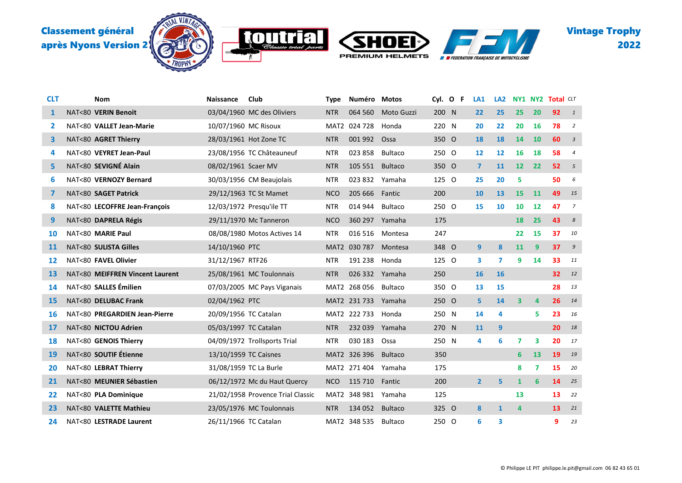







| <b>CLT</b>     | Nom                             | <b>Naissance</b>       | Club                              | <b>Type</b> | Numéro Motos    |                |       | Cyl. O F | LA <sub>1</sub> | LA <sub>2</sub> | <b>NY1 NY2</b>          |                         | <b>Total CLT</b> |                |
|----------------|---------------------------------|------------------------|-----------------------------------|-------------|-----------------|----------------|-------|----------|-----------------|-----------------|-------------------------|-------------------------|------------------|----------------|
| 1              | NAT<80 VERIN Benoit             |                        | 03/04/1960 MC des Oliviers        | <b>NTR</b>  | 064 560         | Moto Guzzi     | 200 N |          | 22              | 25              | 25                      | 20                      | 92               | $\overline{1}$ |
| 2              | NAT<80 VALLET Jean-Marie        | 10/07/1960 MC Risoux   |                                   |             | MAT2 024 728    | Honda          | 220 N |          | 20              | 22              | 20                      | 16                      | 78               | $\overline{2}$ |
| 3              | NAT<80 AGRET Thierry            |                        | 28/03/1961 Hot Zone TC            | <b>NTR</b>  | 001 992         | Ossa           | 350 O |          | 18              | <b>18</b>       | 14                      | 10                      | 60               | $\overline{3}$ |
| 4              | NAT<80 VEYRET Jean-Paul         |                        | 23/08/1956 TC Châteauneuf         | <b>NTR</b>  | 023 858         | Bultaco        | 250 O |          | 12              | 12              | 16                      | 18                      | 58               | $\overline{4}$ |
| 5.             | NAT<80 SEVIGNÉ Alain            | 08/02/1961 Scaer MV    |                                   | <b>NTR</b>  | 105 551         | Bultaco        | 350 O |          | $\overline{7}$  | 11              | 12                      | 22                      | 52               | 5              |
| 6              | NAT<80 VERNOZY Bernard          |                        | 30/03/1956 CM Beaujolais          | <b>NTR</b>  | 023 832         | Yamaha         | 125 O |          | 25              | 20              | 5                       |                         | 50               | 6              |
| $\overline{ }$ | NAT<80 SAGET Patrick            |                        | 29/12/1963 TC St Mamet            | <b>NCO</b>  | 205 666         | Fantic         | 200   |          | 10              | 13              | 15                      | 11                      | 49               | 15             |
| 8              | NAT<80 LECOFFRE Jean-François   |                        | 12/03/1972 Presqu'ile TT          | <b>NTR</b>  | 014 944         | Bultaco        | 250 O |          | 15              | 10              | 10                      | 12                      | 47               | 7              |
| 9              | NAT<80 DAPRELA Régis            |                        | 29/11/1970 Mc Tanneron            | <b>NCO</b>  | 360 297         | Yamaha         | 175   |          |                 |                 | <b>18</b>               | 25                      | 43               | 8              |
| 10             | NAT<80 MARIE Paul               |                        | 08/08/1980 Motos Actives 14       | <b>NTR</b>  | 016 516         | Montesa        | 247   |          |                 |                 | 22                      | 15                      | 37               | 10             |
| 11             | NAT<80 SULISTA Gilles           | 14/10/1960 PTC         |                                   |             | MAT2 030 787    | Montesa        | 348 O |          | 9               | 8               | 11                      | 9                       | 37               | 9              |
| 12             | NAT<80 FAVEL Olivier            | 31/12/1967 RTF26       |                                   | <b>NTR</b>  | 191 238         | Honda          | 125 0 |          | 3               | 7               | 9                       | 14                      | 33               | 11             |
| 13             | NAT<80 MEIFFREN Vincent Laurent |                        | 25/08/1961 MC Toulonnais          | <b>NTR</b>  | 026 332 Yamaha  |                | 250   |          | 16              | <b>16</b>       |                         |                         | 32               | 12             |
| 14             | NAT<80 SALLES Émilien           |                        | 07/03/2005 MC Pays Viganais       |             | MAT2 268 056    | Bultaco        | 350 O |          | 13              | 15              |                         |                         | 28               | 13             |
| 15             | NAT<80 DELUBAC Frank            | 02/04/1962 PTC         |                                   |             | MAT2 231 733    | Yamaha         | 250 O |          | 5               | 14              | $\overline{\mathbf{3}}$ | 4                       | 26               | 14             |
| 16             | NAT<80 PREGARDIEN Jean-Pierre   | 20/09/1956 TC Catalan  |                                   |             | MAT2 222 733    | Honda          | 250 N |          | 14              | 4               |                         | 5                       | 23               | 16             |
| 17             | NAT<80 NICTOU Adrien            | 05/03/1997 TC Catalan  |                                   | <b>NTR</b>  | 232 039         | Yamaha         | 270 N |          | <b>11</b>       | 9               |                         |                         | 20               | 18             |
| 18             | NAT<80 GENOIS Thierry           |                        | 04/09/1972 Trollsports Trial      | <b>NTR</b>  | 030 183         | Ossa           | 250 N |          | 4               | 6               | $\overline{7}$          | 3                       | 20               | 17             |
| 19             | NAT<80 SOUTIF Étienne           | 13/10/1959 TC Caisnes  |                                   |             | MAT2 326 396    | <b>Bultaco</b> | 350   |          |                 |                 | 6                       | 13                      | 19               | 19             |
| 20             | NAT<80 LEBRAT Thierry           | 31/08/1959 TC La Burle |                                   |             | MAT2 271 404    | Yamaha         | 175   |          |                 |                 | 8                       | $\overline{\mathbf{z}}$ | 15               | 20             |
| 21             | NAT<80 MEUNIER Sébastien        |                        | 06/12/1972 Mc du Haut Quercy      | <b>NCO</b>  | 115 710         | Fantic         | 200   |          | $\overline{2}$  | 5               | $\mathbf{1}$            | 6                       | 14               | 25             |
| 22             | NAT<80 PLA Dominique            |                        | 21/02/1958 Provence Trial Classic |             | MAT2 348 981    | Yamaha         | 125   |          |                 |                 | 13                      |                         | 13               | 22             |
| 23             | NAT<80 VALETTE Mathieu          |                        | 23/05/1976 MC Toulonnais          | <b>NTR</b>  | 134 052 Bultaco |                | 325 O |          | 8               | $\mathbf{1}$    | 4                       |                         | 13               | 21             |
| 24             | NAT<80 LESTRADE Laurent         | 26/11/1966 TC Catalan  |                                   |             | MAT2 348 535    | Bultaco        | 250 O |          | 6               | 3               |                         |                         | 9                | 23             |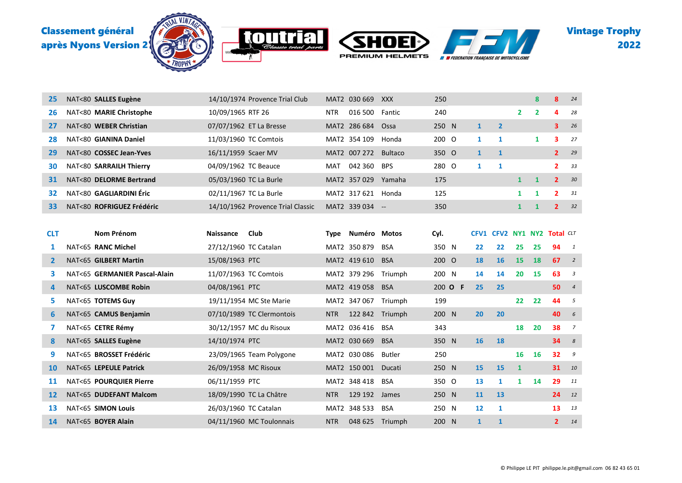

| 25           | NAT<80 SALLES Eugène          |                       | 14/10/1974 Provence Trial Club    |             | MAT2 030 669        | XXX            | 250   |         |              |                             |                   | 8              | 8              | 24             |
|--------------|-------------------------------|-----------------------|-----------------------------------|-------------|---------------------|----------------|-------|---------|--------------|-----------------------------|-------------------|----------------|----------------|----------------|
| 26           | NAT<80 MARIE Christophe       | 10/09/1965 RTF 26     |                                   | <b>NTR</b>  | 016 500             | Fantic         | 240   |         |              |                             | $\overline{2}$    | $\overline{2}$ | 4              | 28             |
| 27           | NAT<80 WEBER Christian        |                       | 07/07/1962 ET La Bresse           |             | MAT2 286 684        | Ossa           | 250 N |         | $\mathbf{1}$ | $\overline{2}$              |                   |                | 3              | 26             |
| 28           | NAT<80 GIANINA Daniel         |                       | 11/03/1960 TC Comtois             |             | MAT2 354 109        | Honda          | 200 O |         | $\mathbf{1}$ | 1                           |                   | 1              | з              | 27             |
| 29           | NAT<80 COSSEC Jean-Yves       | 16/11/1959 Scaer MV   |                                   |             | MAT2 007 272        | <b>Bultaco</b> | 350 O |         | $\mathbf{1}$ | $\mathbf{1}$                |                   |                | $\mathbf{2}$   | 29             |
| 30           | NAT<80 SARRAILH Thierry       | 04/09/1962 TC Beauce  |                                   | MAT         | 042 360             | <b>BPS</b>     | 280 O |         | 1            | 1                           |                   |                | 2              | 33             |
| 31           | NAT<80 DELORME Bertrand       |                       | 05/03/1960 TC La Burle            |             | MAT2 357 029 Yamaha |                | 175   |         |              |                             | $\mathbf{1}$      | $\mathbf{1}$   | $\overline{2}$ | 30             |
| 32           | NAT<80 GAGLIARDINI Éric       |                       | 02/11/1967 TC La Burle            |             | MAT2 317 621 Honda  |                | 125   |         |              |                             | $\mathbf{1}$      | 1              | $\mathbf{z}$   | 31             |
| 33           | NAT<80 ROFRIGUEZ Frédéric     |                       | 14/10/1962 Provence Trial Classic |             | MAT2 339 034 --     |                | 350   |         |              |                             | $\mathbf{1}$      | $\mathbf{1}$   | $\overline{2}$ | 32             |
|              |                               |                       |                                   |             |                     |                |       |         |              |                             |                   |                |                |                |
| <b>CLT</b>   | Nom Prénom                    | <b>Naissance</b>      | Club                              | <b>Type</b> | Numéro Motos        |                | Cyl.  |         |              | CFV1 CFV2 NY1 NY2 Total CLT |                   |                |                |                |
| 1            | NAT<65 RANC Michel            | 27/12/1960 TC Catalan |                                   |             | MAT2 350 879        | <b>BSA</b>     | 350 N |         | 22           | 22                          | 25                | 25             | 94             | $\mathbf{1}$   |
| $\mathbf{z}$ | NAT<65 GILBERT Martin         | 15/08/1963 PTC        |                                   |             | MAT2 419 610        | <b>BSA</b>     | 200 O |         | 18           | 16                          | 15                | 18             | 67             | $\overline{2}$ |
| 3            | NAT<65 GERMANIER Pascal-Alain |                       | 11/07/1963 TC Comtois             |             | MAT2 379 296        | Triumph        | 200 N |         | 14           | 14                          | 20                | 15             | 63             | 3              |
| 4            | NAT<65 LUSCOMBE Robin         | 04/08/1961 PTC        |                                   |             | MAT2 419 058        | <b>BSA</b>     |       | 200 O F | 25           | 25                          |                   |                | 50             | $\overline{4}$ |
| 5            | NAT<65 TOTEMS Guy             |                       | 19/11/1954 MC Ste Marie           |             | MAT2 347 067        | Triumph        | 199   |         |              |                             | $22 \overline{ }$ | 22             | 44             | 5              |
| 6            | NAT<65 CAMUS Benjamin         |                       | 07/10/1989 TC Clermontois         | <b>NTR</b>  | 122 842             | Triumph        | 200 N |         | 20           | 20                          |                   |                | 40             | 6              |
| 7            | NAT<65 CETRE Rémy             |                       | 30/12/1957 MC du Risoux           |             | MAT2 036 416        | <b>BSA</b>     | 343   |         |              |                             | 18                | 20             | 38             | $\overline{7}$ |
| 8            | NAT<65 SALLES Eugène          | 14/10/1974 PTC        |                                   |             | MAT2 030 669        | <b>BSA</b>     | 350 N |         | <b>16</b>    | 18                          |                   |                | 34             | 8              |
| 9            | NAT<65 BROSSET Frédéric       |                       | 23/09/1965 Team Polygone          |             | MAT2 030 086        | <b>Butler</b>  | 250   |         |              |                             | 16                | 16             | 32             | 9              |
| 10           | NAT<65 LEPEULE Patrick        | 26/09/1958 MC Risoux  |                                   |             | MAT2 150 001        | Ducati         | 250 N |         | 15           | 15                          | $\mathbf{1}$      |                | 31             | 10             |
| <b>11</b>    | NAT<65 POURQUIER Pierre       | 06/11/1959 PTC        |                                   |             | MAT2 348 418        | <b>BSA</b>     | 350 O |         | 13           | 1                           | $\mathbf{1}$      | 14             | 29             | 11             |
| 12           | NAT<65 DUDEFANT Malcom        |                       | 18/09/1990 TC La Châtre           | <b>NTR</b>  | 129 192             | James          | 250 N |         | 11           | 13                          |                   |                | 24             | 12             |
| 13           | NAT<65 SIMON Louis            | 26/03/1960 TC Catalan |                                   |             | MAT2 348 533        | <b>BSA</b>     | 250 N |         | 12           | 1                           |                   |                | 13             | 13             |
| 14           | NAT<65 BOYER Alain            |                       | 04/11/1960 MC Toulonnais          | <b>NTR</b>  | 048 625 Triumph     |                | 200 N |         | $\mathbf{1}$ | $\mathbf{1}$                |                   |                | $\overline{2}$ | 14             |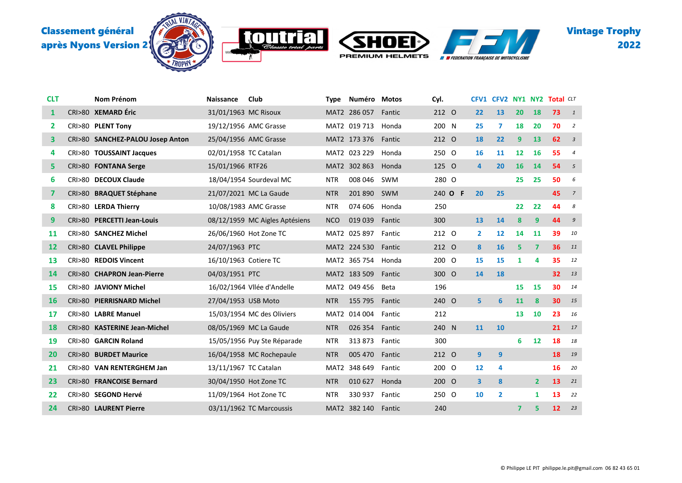

K





| <b>CLT</b> | <b>Nom Prénom</b>                | <b>Naissance</b>      | Club                           | <b>Type</b> | Numéro             | Motos  | Cyl.  |   |                | CFV1 CFV2 NY1 NY2 Total CLT |                   |                         |    |                         |
|------------|----------------------------------|-----------------------|--------------------------------|-------------|--------------------|--------|-------|---|----------------|-----------------------------|-------------------|-------------------------|----|-------------------------|
| 1          | CRI>80 XEMARD Éric               | 31/01/1963 MC Risoux  |                                |             | MAT2 286 057       | Fantic | 212 0 |   | 22             | 13                          | 20                | 18                      | 73 | $\overline{1}$          |
| 2          | CRI>80 PLENT Tony                |                       | 19/12/1956 AMC Grasse          |             | MAT2 019 713 Honda |        | 200 N |   | 25             | 7                           | 18                | 20                      | 70 | $\overline{2}$          |
| 3          | CRI>80 SANCHEZ-PALOU Josep Anton |                       | 25/04/1956 AMC Grasse          |             | MAT2 173 376       | Fantic | 212 0 |   | 18             | 22                          | 9                 | 13                      | 62 | $\overline{\mathbf{3}}$ |
| 4          | CRI>80 TOUSSAINT Jacques         | 02/01/1958 TC Catalan |                                |             | MAT2 023 229       | Honda  | 250 O |   | 16             | 11                          | $12 \overline{ }$ | 16                      | 55 | $\overline{4}$          |
| 5          | CRI>80 FONTANA Serge             | 15/01/1966 RTF26      |                                |             | MAT2 302 863       | Honda  | 125 O |   | $\overline{4}$ | 20                          | <b>16</b>         | 14                      | 54 | $5\overline{5}$         |
| 6          | CRI>80 DECOUX Claude             |                       | 18/04/1954 Sourdeval MC        | <b>NTR</b>  | 008 046            | SWM    | 280 O |   |                |                             | 25                | 25                      | 50 | 6                       |
| 7          | CRI>80 BRAQUET Stéphane          |                       | 21/07/2021 MC La Gaude         | <b>NTR</b>  | 201 890            | SWM    | 240 O | F | 20             | 25                          |                   |                         | 45 | $\overline{z}$          |
| 8          | CRI>80 LERDA Thierry             |                       | 10/08/1983 AMC Grasse          | <b>NTR</b>  | 074 606            | Honda  | 250   |   |                |                             | 22                | 22                      | 44 | 8                       |
| 9          | CRI>80 PERCETTI Jean-Louis       |                       | 08/12/1959 MC Aigles Aptésiens | <b>NCO</b>  | 019 039            | Fantic | 300   |   | 13             | 14                          | 8                 | 9                       | 44 | $\mathcal{G}$           |
| 11         | CRI>80 SANCHEZ Michel            |                       | 26/06/1960 Hot Zone TC         |             | MAT2 025 897       | Fantic | 212 0 |   | $\mathbf{2}$   | 12                          | 14                | 11                      | 39 | 10                      |
| 12         | CRI>80 CLAVEL Philippe           | 24/07/1963 PTC        |                                |             | MAT2 224 530       | Fantic | 212 O |   | 8              | <b>16</b>                   | 5                 | $\overline{\mathbf{z}}$ | 36 | 11                      |
| 13         | CRI>80 REDOIS Vincent            | 16/10/1963 Cotiere TC |                                |             | MAT2 365 754       | Honda  | 200 O |   | 15             | 15                          | 1                 | 4                       | 35 | 12                      |
| 14         | CRI>80 CHAPRON Jean-Pierre       | 04/03/1951 PTC        |                                |             | MAT2 183 509       | Fantic | 300 O |   | 14             | 18                          |                   |                         | 32 | 13                      |
| 15         | CRI>80 JAVIONY Michel            |                       | 16/02/1964 VIIée d'Andelle     |             | MAT2 049 456       | Beta   | 196   |   |                |                             | 15                | 15                      | 30 | 14                      |
| 16         | CRI>80 PIERRISNARD Michel        | 27/04/1953 USB Moto   |                                | <b>NTR</b>  | 155 795            | Fantic | 240 O |   | 5              | 6                           | 11                | 8                       | 30 | 15                      |
| 17         | CRI>80 LABRE Manuel              |                       | 15/03/1954 MC des Oliviers     |             | MAT2 014 004       | Fantic | 212   |   |                |                             | 13                | 10                      | 23 | 16                      |
| 18         | CRI>80 KASTERINE Jean-Michel     |                       | 08/05/1969 MC La Gaude         | <b>NTR</b>  | 026 354            | Fantic | 240 N |   | 11             | 10                          |                   |                         | 21 | 17                      |
| 19         | CRI>80 GARCIN Roland             |                       | 15/05/1956 Puy Ste Réparade    | <b>NTR</b>  | 313873             | Fantic | 300   |   |                |                             | 6                 | 12                      | 18 | 18                      |
| 20         | CRI>80 BURDET Maurice            |                       | 16/04/1958 MC Rochepaule       | <b>NTR</b>  | 005 470            | Fantic | 212 0 |   | 9              | 9                           |                   |                         | 18 | 19                      |
| 21         | CRI>80 VAN RENTERGHEM Jan        | 13/11/1967 TC Catalan |                                | MAT2        | 348 649            | Fantic | 200 O |   | 12             | 4                           |                   |                         | 16 | 20                      |
| 23         | CRI>80 FRANCOISE Bernard         |                       | 30/04/1950 Hot Zone TC         | <b>NTR</b>  | 010 627            | Honda  | 200 O |   | 3              | 8                           |                   | $\overline{2}$          | 13 | 21                      |
| 22         | CRI>80 SEGOND Hervé              |                       | 11/09/1964 Hot Zone TC         | <b>NTR</b>  | 330 937            | Fantic | 250 O |   | 10             | 2                           |                   | 1                       | 13 | 22                      |
| 24         | CRI>80 LAURENT Pierre            |                       | 03/11/1962 TC Marcoussis       |             | MAT2 382 140       | Fantic | 240   |   |                |                             | $\overline{7}$    | 5                       | 12 | 23                      |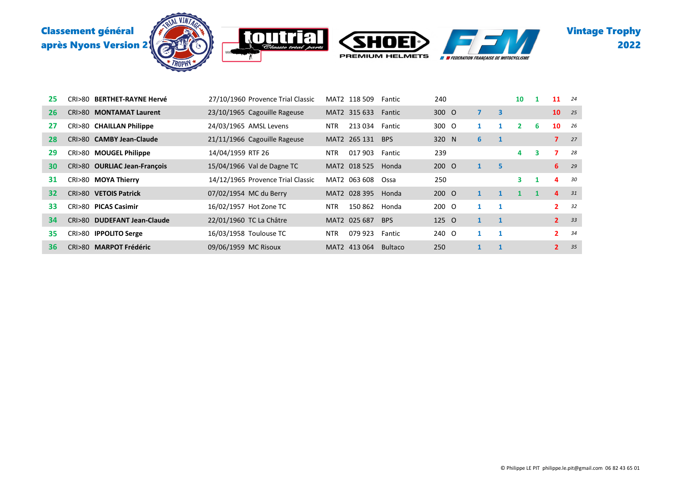

| 25 | CRI>80 BE <b>RTHET-RAYNE Hervé</b> | 27/10/1960 Provence Trial Classic | MAT2 118 509          | Fantic         | 240   |                |                         | 10             |   | 11             | 24   |
|----|------------------------------------|-----------------------------------|-----------------------|----------------|-------|----------------|-------------------------|----------------|---|----------------|------|
| 26 | CRI>80 MONTAMAT Laurent            | 23/10/1965 Cagouille Rageuse      | MAT2 315 633          | Fantic         | 300 O | $\overline{ }$ | $\overline{\mathbf{3}}$ |                |   | 10             | - 25 |
| 27 | CRI>80 CHAILLAN Philippe           | 24/03/1965 AMSL Levens            | 213 034<br><b>NTR</b> | Fantic         | 300 O | 1              |                         | $\overline{2}$ | 6 | 10             | -26  |
| 28 | CRI>80 CAMBY Jean-Claude           | 21/11/1966 Cagouille Rageuse      | MAT2 265 131          | <b>BPS</b>     | 320 N | 6              |                         |                |   | $\overline{ }$ | 27   |
| 29 | CRI>80 MOUGEL Philippe             | 14/04/1959 RTF 26                 | 017 903<br><b>NTR</b> | Fantic         | 239   |                |                         | 4              | 3 | 7              | 28   |
| 30 | CRI>80 OURLIAC Jean-François       | 15/04/1966 Val de Dagne TC        | MAT2 018 525          | Honda          | 200 O | $\mathbf{1}$   | 5                       |                |   | 6              | 29   |
| 31 | CRI>80 MOYA Thierry                | 14/12/1965 Provence Trial Classic | MAT2 063 608          | Ossa           | 250   |                |                         | 3              |   | 4              | 30   |
| 32 | CRI>80 VETOIS Patrick              | 07/02/1954 MC du Berry            | MAT2 028 395          | Honda          | 200 O | $\mathbf{1}$   | $\mathbf{1}$            | 1              |   | $\overline{4}$ | 31   |
| 33 | CRI>80 PICAS Casimir               | 16/02/1957 Hot Zone TC            | <b>NTR</b><br>150 862 | Honda          | 200 O | 1              | 1                       |                |   | $\mathbf{2}$   | 32   |
| 34 | CRI>80 DUDEFANT Jean-Claude        | 22/01/1960 TC La Châtre           | MAT2 025 687          | <b>BPS</b>     | 125 O | $\mathbf{1}$   | $\mathbf{1}$            |                |   | 2 <sup>1</sup> | 33   |
| 35 | CRI>80 IPPOLITO Serge              | 16/03/1958 Toulouse TC            | 079 923<br><b>NTR</b> | Fantic         | 240 O | 1              | 1                       |                |   | $\mathbf{2}$   | 34   |
| 36 | CRI>80 MARPOT Frédéric             | 09/06/1959 MC Risoux              | MAT2 413 064          | <b>Bultaco</b> | 250   |                |                         |                |   | $\overline{2}$ | 35   |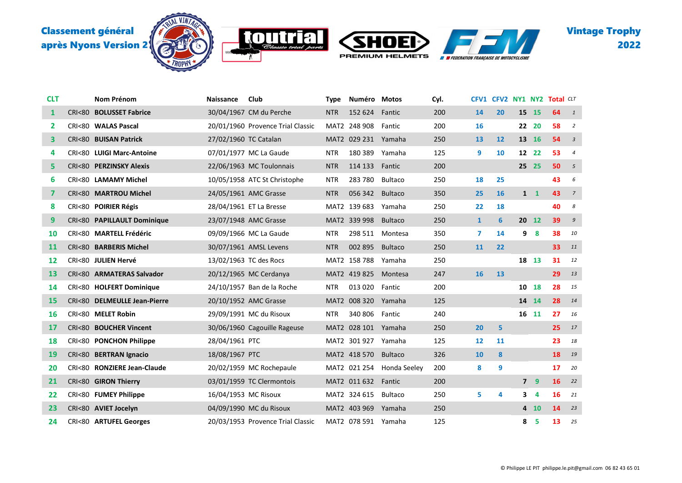

**MOTH** 

'K





| <b>CLT</b>   | Nom Prénom                   | <b>Naissance</b>       | Club                              | <b>Type</b> | Numéro Motos        |                | Cyl. |              | CFV1 CFV2 NY1 NY2 |    |                | <b>Total CLT</b> |                         |
|--------------|------------------------------|------------------------|-----------------------------------|-------------|---------------------|----------------|------|--------------|-------------------|----|----------------|------------------|-------------------------|
| $\mathbf{1}$ | CRI<80 BOLUSSET Fabrice      |                        | 30/04/1967 CM du Perche           | <b>NTR</b>  | 152 624             | Fantic         | 200  | 14           | 20                | 15 | 15             | 64               | $\overline{1}$          |
| 2            | CRI<80 WALAS Pascal          |                        | 20/01/1960 Provence Trial Classic |             | MAT2 248 908        | Fantic         | 200  | 16           |                   |    | 22 20          | 58               | $\overline{2}$          |
| 3            | CRI<80 BUISAN Patrick        | 27/02/1960 TC Catalan  |                                   |             | MAT2 029 231        | Yamaha         | 250  | 13           | 12                |    | 13 16          | 54               | $\overline{\mathbf{3}}$ |
| 4            | CRI<80 LUIGI Marc-Antoine    |                        | 07/01/1977 MC La Gaude            | <b>NTR</b>  | 180 389             | Yamaha         | 125  | 9            | 10                |    | 12 22          | 53               | $\overline{4}$          |
| 5.           | CRI<80 PERZINSKY Alexis      |                        | 22/06/1963 MC Toulonnais          | <b>NTR</b>  | 114 133             | Fantic         | 200  |              |                   | 25 | 25             | 50               | 5                       |
| 6            | CRI<80 LAMAMY Michel         |                        | 10/05/1958 ATC St Christophe      | <b>NTR</b>  | 283780              | <b>Bultaco</b> | 250  | 18           | 25                |    |                | 43               | 6                       |
| 7            | CRI<80 MARTROU Michel        |                        | 24/05/1961 AMC Grasse             | <b>NTR</b>  | 056 342             | <b>Bultaco</b> | 350  | 25           | <b>16</b>         |    | $1\quad$       | 43               | $\overline{7}$          |
| 8            | CRI<80 POIRIER Régis         |                        | 28/04/1961 ET La Bresse           |             | MAT2 139 683        | Yamaha         | 250  | 22           | 18                |    |                | 40               | 8                       |
| 9            | CRI<80 PAPILLAULT Dominique  |                        | 23/07/1948 AMC Grasse             |             | MAT2 339 998        | <b>Bultaco</b> | 250  | $\mathbf{1}$ | 6                 |    | 20 12          | 39               | $\mathcal{G}$           |
| 10           | CRI<80 MARTELL Frédéric      |                        | 09/09/1966 MC La Gaude            | <b>NTR</b>  | 298 511             | Montesa        | 350  | 7            | 14                |    | 9 <sub>8</sub> | 38               | 10                      |
| 11           | CRI<80 BARBERIS Michel       |                        | 30/07/1961 AMSL Levens            | <b>NTR</b>  | 002 895             | <b>Bultaco</b> | 250  | 11           | 22                |    |                | 33               | 11                      |
| 12           | CRI<80 JULIEN Hervé          | 13/02/1963 TC des Rocs |                                   |             | MAT2 158 788        | Yamaha         | 250  |              |                   |    | 18 13          | 31               | 12                      |
| 13           | CRI<80 ARMATERAS Salvador    |                        | 20/12/1965 MC Cerdanya            |             | MAT2 419 825        | Montesa        | 247  | <b>16</b>    | 13                |    |                | 29               | 13                      |
| 14           | CRI<80 HOLFERT Dominique     |                        | 24/10/1957 Ban de la Roche        | <b>NTR</b>  | 013 020             | Fantic         | 200  |              |                   | 10 | 18             | 28               | 15                      |
| 15           | CRI<80 DELMEULLE Jean-Pierre |                        | 20/10/1952 AMC Grasse             |             | MAT2 008 320        | Yamaha         | 125  |              |                   |    | 14 14          | 28               | 14                      |
| 16           | CRI<80 MELET Robin           |                        | 29/09/1991 MC du Risoux           | <b>NTR</b>  | 340 806             | Fantic         | 240  |              |                   |    | 16 11          | 27               | 16                      |
| 17           | CRI<80 BOUCHER Vincent       |                        | 30/06/1960 Cagouille Rageuse      |             | MAT2 028 101        | Yamaha         | 250  | 20           | 5                 |    |                | 25               | 17                      |
| 18           | CRI<80 PONCHON Philippe      | 28/04/1961 PTC         |                                   |             | MAT2 301 927        | Yamaha         | 125  | 12           | 11                |    |                | 23               | 18                      |
| 19           | CRI<80 BERTRAN Ignacio       | 18/08/1967 PTC         |                                   |             | MAT2 418 570        | <b>Bultaco</b> | 326  | 10           | 8                 |    |                | 18               | 19                      |
| 20           | CRI<80 RONZIERE Jean-Claude  |                        | 20/02/1959 MC Rochepaule          |             | MAT2 021 254        | Honda Seeley   | 200  | 8            | 9                 |    |                | 17               | 20                      |
| 21           | CRI<80 GIRON Thierry         |                        | 03/01/1959 TC Clermontois         |             | MAT2 011 632 Fantic |                | 200  |              |                   |    | 7 <sub>9</sub> | 16               | 22                      |
| 22           | CRI<80 FUMEY Philippe        | 16/04/1953 MC Risoux   |                                   |             | MAT2 324 615        | Bultaco        | 250  | 5            | 4                 | 3  | 4              | 16               | 21                      |
| 23           | CRI<80 AVIET Jocelyn         |                        | 04/09/1990 MC du Risoux           |             | MAT2 403 969        | Yamaha         | 250  |              |                   |    | 4 10           | 14               | 23                      |
| 24           | CRI<80 ARTUFEL Georges       |                        | 20/03/1953 Provence Trial Classic |             | MAT2 078 591 Yamaha |                | 125  |              |                   | 8  | 5              | 13               | 25                      |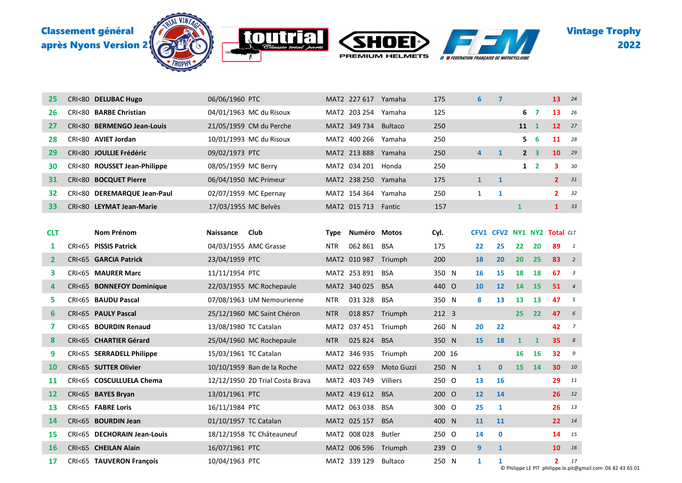

| 25         | CRI<80 DELUBAC Hugo          | 06/06/1960 PTC        |                                 |            | MAT2 227 617 Yamaha |                | 175    | 6              | $\boldsymbol{\mathsf{7}}$   |              |                         | 13           | 24             |
|------------|------------------------------|-----------------------|---------------------------------|------------|---------------------|----------------|--------|----------------|-----------------------------|--------------|-------------------------|--------------|----------------|
| 26         | CRI<80 BARBE Christian       |                       | 04/01/1963 MC du Risoux         |            | MAT2 203 254        | Yamaha         | 125    |                |                             | 6            | 7                       | 13           | 26             |
| 27         | CRI<80 BERMENGO Jean-Louis   |                       | 21/05/1959 CM du Perche         |            | MAT2 349 734        | <b>Bultaco</b> | 250    |                |                             | 11           | $\mathbf{1}$            | 12           | 27             |
| 28         | CRI<80 AVIET Jordan          |                       | 10/01/1993 MC du Risoux         |            | MAT2 400 266 Yamaha |                | 250    |                |                             | 5.           | 6                       | 11           | 28             |
| 29         | CRI<80 JOULLIE Frédéric      | 09/02/1973 PTC        |                                 |            | MAT2 213 888        | Yamaha         | 250    | $\overline{4}$ | $\mathbf{1}$                |              | 2 <sub>3</sub>          | 10           | 29             |
| 30         | CRI<80 ROUSSET Jean-Philippe | 08/05/1959 MC Berry   |                                 |            | MAT2 034 201        | Honda          | 250    |                |                             | $\mathbf{1}$ | $\overline{\mathbf{2}}$ | 3            | 30             |
| 31         | CRI<80 BOCQUET Pierre        | 06/04/1950 MC Primeur |                                 |            | MAT2 238 250 Yamaha |                | 175    | $\mathbf{1}$   | $\mathbf{1}$                |              |                         | $\mathbf{2}$ | 31             |
| 32         | CRI<80 DEREMARQUE Jean-Paul  |                       | 02/07/1959 MC Epernay           |            | MAT2 154 364        | Yamaha         | 250    | $\mathbf{1}$   | 1                           |              |                         | $\mathbf{2}$ | 32             |
| 33         | CRI<80 LEYMAT Jean-Marie     | 17/03/1955 MC Belvès  |                                 |            | MAT2 015 713 Fantic |                | 157    |                |                             | $\mathbf{1}$ |                         | $\mathbf{1}$ | 33             |
|            |                              |                       |                                 |            |                     |                |        |                |                             |              |                         |              |                |
| <b>CLT</b> | Nom Prénom                   | <b>Naissance</b>      | Club                            | Type       | Numéro              | Motos          | Cyl.   |                | CFV1 CFV2 NY1 NY2 Total CLT |              |                         |              |                |
| 1          | CRI<65 PISSIS Patrick        |                       | 04/03/1955 AMC Grasse           | <b>NTR</b> | 062 861             | BSA            | 175    | 22             | 25                          | 22           | 20                      | 89           | $\mathbf{1}$   |
| 2          | CRI<65 GARCIA Patrick        | 23/04/1959 PTC        |                                 |            | MAT2 010 987        | Triumph        | 200    | 18             | 20                          | 20           | 25                      | 83           | $\overline{2}$ |
| 3          | CRI<65 MAURER Marc           | 11/11/1954 PTC        |                                 |            | MAT2 253 891        | BSA            | 350 N  | 16             | 15                          | 18           | 18                      | 67           | 3              |
| 4          | CRI<65 BONNEFOY Dominique    |                       | 22/03/1955 MC Rochepaule        |            | MAT2 340 025        | <b>BSA</b>     | 440 O  | <b>10</b>      | 12                          | 14           | 15                      | 51           | $\overline{4}$ |
| 5          | CRI<65 BAUDU Pascal          |                       | 07/08/1963 UM Nemourienne       | <b>NTR</b> | 031 328             | <b>BSA</b>     | 350 N  | 8              | 13                          | 13           | 13                      | 47           | 5              |
| 6          | CRI<65 PAULY Pascal          |                       | 25/12/1960 MC Saint Chéron      | <b>NTR</b> | 018 857             | Triumph        | 212 3  |                |                             | 25           | 22                      | 47           | 6              |
| 7          | CRI<65 BOURDIN Renaud        | 13/08/1980 TC Catalan |                                 |            | MAT2 037 451        | Triumph        | 260 N  | 20             | 22                          |              |                         | 42           | $\overline{7}$ |
| 8          | CRI<65 CHARTIER Gérard       |                       | 25/04/1960 MC Rochepaule        | NTR        | 025 824             | <b>BSA</b>     | 350 N  | 15             | 18                          | $\mathbf{1}$ | $\mathbf{1}$            | 35           | 8              |
| 9          | CRI<65 SERRADELL Philippe    | 15/03/1961 TC Catalan |                                 |            | MAT2 346 935        | Triumph        | 200 16 |                |                             | 16           | <b>16</b>               | 32           | 9              |
| <b>10</b>  | CRI<65 SUTTER Olivier        |                       | 10/10/1959 Ban de la Roche      |            | MAT2 022 659        | Moto Guzzi     | 250 N  | $\mathbf{1}$   | $\mathbf{0}$                | 15           | 14                      | 30           | 10             |
| 11         | CRI<65 COSCULLUELA Chema     |                       | 12/12/1950 2D Trial Costa Brava |            | MAT2 403 749        | Villiers       | 250 O  | 13             | 16                          |              |                         | 29           | 11             |
| 12         | CRI<65 BAYES Bryan           | 13/01/1961 PTC        |                                 |            | MAT2 419 612        | <b>BSA</b>     | 200 O  | 12             | 14                          |              |                         | 26           | 12             |
| 13         | CRI<65 FABRE Loris           | 16/11/1984 PTC        |                                 |            | MAT2 063 038        | BSA            | 300 O  | 25             | 1                           |              |                         | 26           | 13             |
| 14         | CRI<65 BOURDIN Jean          | 01/10/1957 TC Catalan |                                 |            | MAT2 025 157        | <b>BSA</b>     | 400 N  | 11             | 11                          |              |                         | 22           | 14             |
| 15         | CRI<65 DECHORAIN Jean-Louis  |                       | 18/12/1958 TC Châteauneuf       |            | MAT2 008 028        | Butler         | 250 O  | 14             | $\mathbf 0$                 |              |                         | 14           | 15             |
| 16         | CRI<65 CHEILAN Alain         | 16/07/1961 PTC        |                                 |            | MAT2 006 596        | Triumph        | 239 O  | 9              | $\mathbf{1}$                |              |                         | 10           | 16             |
| 17         | CRI<65 TAUVERON François     | 10/04/1963 PTC        |                                 |            | MAT2 339 129        | <b>Bultaco</b> | 250 N  | 1              | 1                           |              |                         | $\mathbf{2}$ | 17             |

© Philippe LE PIT philippe.le.pit@gmail.com 06 82 43 65 01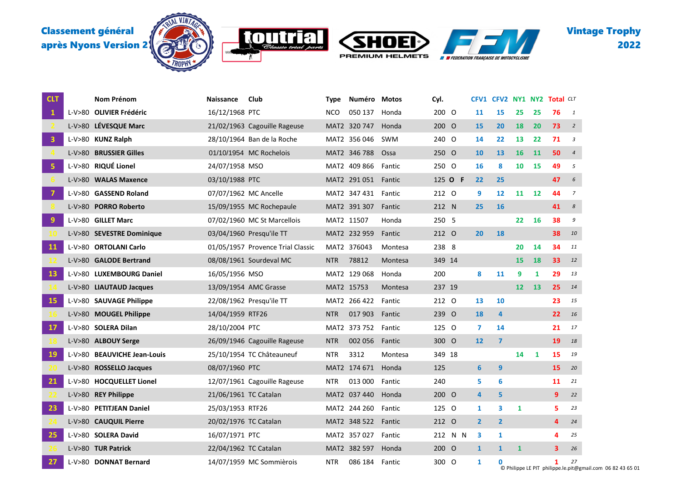







Vintage Trophy 

| <b>CLT</b>              |        | Nom Prénom                  | Naissance             | Club                              | Type       | Numéro              | <b>Motos</b> | Cyl.    |         | <b>CFV1</b>    |                |                 |    | <b>CFV2 NY1 NY2 Total CLT</b> |                  |
|-------------------------|--------|-----------------------------|-----------------------|-----------------------------------|------------|---------------------|--------------|---------|---------|----------------|----------------|-----------------|----|-------------------------------|------------------|
| $\mathbf{1}$            |        | L-V>80 OLIVIER Frédéric     | 16/12/1968 PTC        |                                   | <b>NCO</b> | 050 137             | Honda        | 200 O   |         | 11             | 15             | 25              | 25 | 76                            | 1                |
|                         |        | L-V>80 LÉVESQUE Marc        |                       | 21/02/1963 Cagouille Rageuse      |            | MAT2 320 747        | Honda        | 200 O   |         | <b>15</b>      | 20             | 18              | 20 | 73                            | $\overline{2}$   |
| $\overline{\mathbf{3}}$ |        | L-V>80 KUNZ Ralph           |                       | 28/10/1964 Ban de la Roche        |            | MAT2 356 046        | SWM          | 240 O   |         | 14             | 22             | 13              | 22 | 71                            | 3                |
|                         | L-V>80 | <b>BRUSSIER Gilles</b>      |                       | 01/10/1954 MC Rochelois           |            | MAT2 346 788        | Ossa         | 250 O   |         | 10             | 13             | 16              | 11 | 50                            | $\overline{4}$   |
| 5                       |        | L-V>80 RIQUÉ Lionel         | 24/07/1958 MSO        |                                   |            | MAT2 409 866        | Fantic       | 250 O   |         | 16             | 8              | 10              | 15 | 49                            | 5                |
|                         |        | L-V>80 WALAS Maxence        | 03/10/1988 PTC        |                                   |            | MAT2 291 051 Fantic |              | 125 O F |         | 22             | 25             |                 |    | 47                            | $\epsilon$       |
| $\overline{7}$          |        | L-V>80 GASSEND Roland       | 07/07/1962 MC Ancelle |                                   |            | MAT2 347 431        | Fantic       | 212 0   |         | 9              | 12             | 11              | 12 | 44                            | $\overline{7}$   |
|                         |        | L-V>80 PORRO Roberto        |                       | 15/09/1955 MC Rochepaule          |            | MAT2 391 307        | Fantic       | 212 N   |         | 25             | 16             |                 |    | 41                            | $\boldsymbol{s}$ |
| $\overline{9}$          |        | L-V>80 GILLET Marc          |                       | 07/02/1960 MC St Marcellois       |            | MAT2 11507          | Honda        | 250 5   |         |                |                | 22              | 16 | 38                            | 9                |
|                         |        | L-V>80 SEVESTRE Dominique   |                       | 03/04/1960 Presqu'ile TT          |            | MAT2 232 959        | Fantic       | 212 O   |         | 20             | 18             |                 |    | 38                            | 10               |
| <b>11</b>               |        | L-V>80 ORTOLANI Carlo       |                       | 01/05/1957 Provence Trial Classic |            | MAT2 376043         | Montesa      | 238 8   |         |                |                | 20              | 14 | 34                            | 11               |
|                         |        | L-V>80 GALODE Bertrand      |                       | 08/08/1961 Sourdeval MC           | <b>NTR</b> | 78812               | Montesa      | 349 14  |         |                |                | <b>15</b>       | 18 | 33                            | 12               |
| <b>13</b>               |        | L-V>80 LUXEMBOURG Daniel    | 16/05/1956 MSO        |                                   |            | MAT2 129 068        | Honda        | 200     |         | 8              | 11             | 9               | 1  | 29                            | 13               |
|                         |        | L-V>80 LIAUTAUD Jacques     |                       | 13/09/1954 AMC Grasse             |            | MAT2 15753          | Montesa      | 237 19  |         |                |                | 12 <sup>2</sup> | 13 | 25                            | 14               |
| <b>15</b>               |        | L-V>80 SAUVAGE Philippe     |                       | 22/08/1962 Presqu'ile TT          |            | MAT2 266 422        | Fantic       | 212 0   |         | 13             | 10             |                 |    | 23                            | 15               |
|                         |        | L-V>80 MOUGEL Philippe      | 14/04/1959 RTF26      |                                   | <b>NTR</b> | 017 903             | Fantic       | 239 O   |         | 18             | 4              |                 |    | 22                            | 16               |
| <b>17</b>               |        | L-V>80 SOLERA Dilan         | 28/10/2004 PTC        |                                   |            | MAT2 373 752        | Fantic       | 125 0   |         | 7              | 14             |                 |    | 21                            | 17               |
|                         |        | L-V>80 ALBOUY Serge         |                       | 26/09/1946 Cagouille Rageuse      | <b>NTR</b> | 002 056             | Fantic       | 300 O   |         | 12             | $\overline{7}$ |                 |    | 19                            | 18               |
| 19                      |        | L-V>80 BEAUVICHE Jean-Louis |                       | 25/10/1954 TC Châteauneuf         | <b>NTR</b> | 3312                | Montesa      | 349 18  |         |                |                | 14              | 1  | 15                            | 19               |
|                         |        | L-V>80 ROSSELLO Jacques     | 08/07/1960 PTC        |                                   |            | MAT2 174 671        | Honda        | 125     |         | 6              | 9              |                 |    | 15                            | 20               |
| 21                      |        | L-V>80 HOCQUELLET Lionel    |                       | 12/07/1961 Cagouille Rageuse      | <b>NTR</b> | 013 000             | Fantic       | 240     |         | 5              | 6              |                 |    | 11                            | 21               |
|                         |        | L-V>80 REY Philippe         | 21/06/1961 TC Catalan |                                   |            | MAT2 037 440        | Honda        | 200 O   |         | 4              | 5              |                 |    | 9                             | 22               |
| 23                      |        | L-V>80 PETITJEAN Daniel     | 25/03/1953 RTF26      |                                   |            | MAT2 244 260        | Fantic       | 125 0   |         | 1              | 3              | 1               |    | 5                             | 23               |
|                         |        | L-V>80 CAUQUIL Pierre       | 20/02/1976 TC Catalan |                                   |            | MAT2 348 522        | Fantic       | 212 0   |         | $\overline{2}$ | $\overline{2}$ |                 |    | 4                             | 24               |
| 25                      |        | L-V>80 SOLERA David         | 16/07/1971 PTC        |                                   |            | MAT2 357 027        | Fantic       |         | 212 N N | 3              | 1              |                 |    | 4                             | 25               |
|                         |        | L-V>80 TUR Patrick          | 22/04/1962 TC Catalan |                                   |            | MAT2 382 597        | Honda        | 200 O   |         | $\mathbf{1}$   | $\mathbf{1}$   | $\mathbf{1}$    |    | 3                             | 26               |
| 27                      |        | L-V>80 DONNAT Bernard       |                       | 14/07/1959 MC Sommièrois          | <b>NTR</b> | 086 184             | Fantic       | 300 O   |         | 1              | 0              |                 |    | 1                             | 27               |

© Philippe LE PIT philippe.le.pit@gmail.com 06 82 43 65 01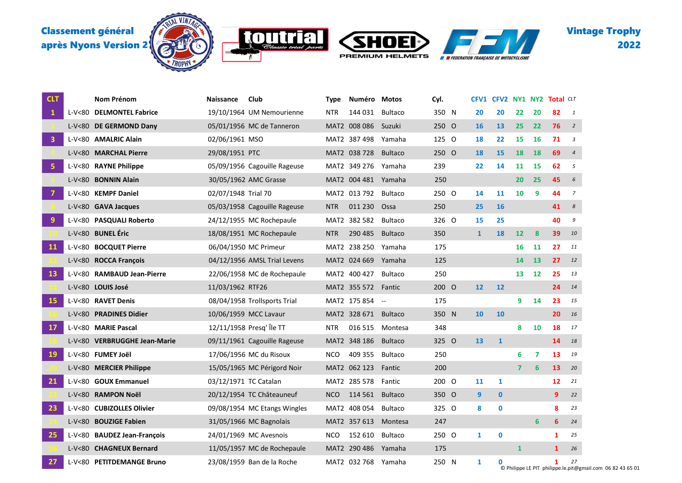





Vintage Trophy 

| <b>CLT</b>              | Nom Prénom                   | <b>Naissance</b>      | Club                         | <b>Type</b> | Numéro       | Motos                    | Cyl.  |                | CFV1 CFV2 NY1 NY2 Total CLT |                |           |              |                         |
|-------------------------|------------------------------|-----------------------|------------------------------|-------------|--------------|--------------------------|-------|----------------|-----------------------------|----------------|-----------|--------------|-------------------------|
| $\mathbf{1}$            | L-V<80 DELMONTEL Fabrice     |                       | 19/10/1964 UM Nemourienne    | NTR         | 144 031      | <b>Bultaco</b>           | 350 N | 20             | 20                          | 22             | 20        | 82           | $\mathbf{1}$            |
|                         | L-V<80 DE GERMOND Dany       |                       | 05/01/1956 MC de Tanneron    |             | MAT2 008 086 | Suzuki                   | 250 O | <b>16</b>      | 13                          | 25             | 22        | 76           | $\overline{2}$          |
| $\overline{\mathbf{3}}$ | L-V<80 AMALRIC Alain         | 02/06/1961 MSO        |                              |             | MAT2 387 498 | Yamaha                   | 125 0 | 18             | 22                          | 15             | <b>16</b> | 71           | $\overline{\mathbf{3}}$ |
|                         | L-V<80 MARCHAL Pierre        | 29/08/1951 PTC        |                              |             | MAT2 038 728 | <b>Bultaco</b>           | 250 O | 18             | 15                          | 18             | 18        | 69           | $\overline{4}$          |
| $\overline{\mathbf{5}}$ | L-V<80 RAYNE Philippe        |                       | 05/09/1956 Cagouille Rageuse |             | MAT2 349 276 | Yamaha                   | 239   | 22             | 14                          | 11             | 15        | 62           | 5                       |
|                         | L-V<80 BONNIN Alain          |                       | 30/05/1962 AMC Grasse        |             | MAT2 004 481 | Yamaha                   | 250   |                |                             | 20             | 25        | 45           | 6                       |
| $\overline{7}$          | L-V<80 KEMPF Daniel          | 02/07/1948 Trial 70   |                              |             | MAT2 013 792 | <b>Bultaco</b>           | 250 O | 14             | 11                          | 10             | 9         | 44           | $\overline{7}$          |
|                         | L-V<80 GAVA Jacques          |                       | 05/03/1958 Cagouille Rageuse | <b>NTR</b>  | 011 230      | Ossa                     | 250   | 25             | 16                          |                |           | 41           | $\boldsymbol{8}$        |
| $\overline{9}$          | L-V<80 PASQUALI Roberto      |                       | 24/12/1955 MC Rochepaule     |             | MAT2 382 582 | <b>Bultaco</b>           | 326 O | 15             | 25                          |                |           | 40           | 9                       |
|                         | L-V<80 BUNEL Éric            |                       | 18/08/1951 MC Rochepaule     | <b>NTR</b>  | 290 485      | <b>Bultaco</b>           | 350   | $\mathbf{1}$   | 18                          | 12             | 8         | 39           | 10                      |
| <b>11</b>               | L-V<80 BOCQUET Pierre        |                       | 06/04/1950 MC Primeur        |             | MAT2 238 250 | Yamaha                   | 175   |                |                             | 16             | 11        | 27           | 11                      |
|                         | L-V<80 ROCCA François        |                       | 04/12/1956 AMSL Trial Levens |             | MAT2 024 669 | Yamaha                   | 125   |                |                             | 14             | 13        | 27           | 12                      |
| 13                      | L-V<80 RAMBAUD Jean-Pierre   |                       | 22/06/1958 MC de Rochepaule  |             | MAT2 400 427 | <b>Bultaco</b>           | 250   |                |                             | 13             | 12        | 25           | 13                      |
|                         | L-V<80 LOUIS José            | 11/03/1962 RTF26      |                              |             | MAT2 355 572 | Fantic                   | 200 O | 12             | 12                          |                |           | 24           | 14                      |
| <b>15</b>               | L-V<80 RAVET Denis           |                       | 08/04/1958 Trollsports Trial |             | MAT2 175 854 | $\overline{\phantom{a}}$ | 175   |                |                             | 9              | 14        | 23           | 15                      |
|                         | L-V<80 PRADINES Didier       |                       | 10/06/1959 MCC Lavaur        |             | MAT2 328 671 | <b>Bultaco</b>           | 350 N | 10             | 10                          |                |           | 20           | 16                      |
| <b>17</b>               | L-V<80 MARIE Pascal          |                       | 12/11/1958 Presq' Île TT     | <b>NTR</b>  | 016 515      | Montesa                  | 348   |                |                             | 8              | 10        | 18           | 17                      |
|                         | L-V<80 VERBRUGGHE Jean-Marie |                       | 09/11/1961 Cagouille Rageuse |             | MAT2 348 186 | <b>Bultaco</b>           | 325 O | 13             | $\mathbf{1}$                |                |           | 14           | 18                      |
| 19                      | L-V<80 FUMEY Joël            |                       | 17/06/1956 MC du Risoux      | <b>NCO</b>  | 409 355      | <b>Bultaco</b>           | 250   |                |                             | 6              | 7         | 13           | 19                      |
|                         | L-V<80 MERCIER Philippe      |                       | 15/05/1965 MC Périgord Noir  |             | MAT2 062 123 | Fantic                   | 200   |                |                             | $\overline{7}$ | 6         | 13           | 20                      |
| 21                      | L-V<80 GOUX Emmanuel         | 03/12/1971 TC Catalan |                              |             | MAT2 285 578 | Fantic                   | 200 O | 11             | 1                           |                |           | 12           | 21                      |
|                         | L-V<80 RAMPON Noël           |                       | 20/12/1954 TC Châteauneuf    | <b>NCO</b>  | 114 561      | <b>Bultaco</b>           | 350 O | $\overline{9}$ | $\mathbf{0}$                |                |           | 9            | 22                      |
| 23                      | L-V<80 CUBIZOLLES Olivier    |                       | 09/08/1954 MC Etangs Wingles |             | MAT2 408 054 | <b>Bultaco</b>           | 325 O | 8              | $\mathbf 0$                 |                |           | 8            | 23                      |
|                         | L-V<80 BOUZIGE Fabien        |                       | 31/05/1966 MC Bagnolais      |             | MAT2 357 613 | Montesa                  | 247   |                |                             |                | 6         | 6            | 24                      |
| 25                      | L-V<80 BAUDEZ Jean-François  |                       | 24/01/1969 MC Avesnois       | <b>NCO</b>  | 152 610      | <b>Bultaco</b>           | 250 O | $\mathbf{1}$   | $\mathbf 0$                 |                |           | 1            | 25                      |
|                         | L-V<80 CHAGNEUX Bernard      |                       | 11/05/1957 MC de Rochepaule  |             | MAT2 290 486 | Yamaha                   | 175   |                |                             | $\mathbf{1}$   |           | $\mathbf{1}$ | 26                      |
| 27                      | L-V<80 PETITDEMANGE Bruno    |                       | 23/08/1959 Ban de la Roche   |             | MAT2 032 768 | Yamaha                   | 250 N | 1              | $\mathbf 0$                 |                |           | 1            | 27                      |

© Philippe LE PIT philippe.le.pit@gmail.com 06 82 43 65 01